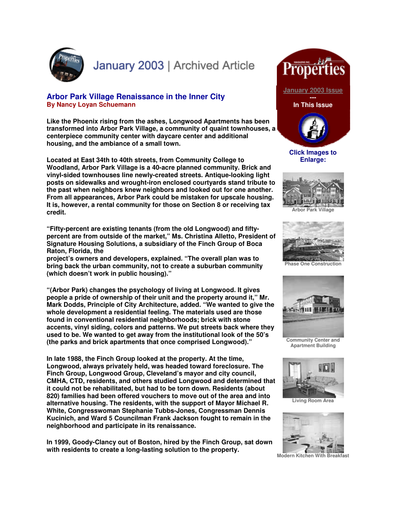

January 2003 | Archived Article

## **Arbor Park Village Renaissance in the Inner City By Nancy Loyan Schuemann**

**Like the Phoenix rising from the ashes, Longwood Apartments has been transformed into Arbor Park Village, a community of quaint townhouses, a centerpiece community center with daycare center and additional housing, and the ambiance of a small town.** 

**Located at East 34th to 40th streets, from Community College to Woodland, Arbor Park Village is a 40-acre planned community. Brick and vinyl-sided townhouses line newly-created streets. Antique-looking light posts on sidewalks and wrought-iron enclosed courtyards stand tribute to the past when neighbors knew neighbors and looked out for one another. From all appearances, Arbor Park could be mistaken for upscale housing. It is, however, a rental community for those on Section 8 or receiving tax credit.** 

**"Fifty-percent are existing tenants (from the old Longwood) and fiftypercent are from outside of the market," Ms. Christina Alletto, President of Signature Housing Solutions, a subsidiary of the Finch Group of Boca Raton, Florida, the** 

**project's owners and developers, explained. "The overall plan was to bring back the urban community, not to create a suburban community (which doesn't work in public housing)."** 

**"(Arbor Park) changes the psychology of living at Longwood. It gives people a pride of ownership of their unit and the property around it," Mr. Mark Dodds, Principle of City Architecture, added. "We wanted to give the whole development a residential feeling. The materials used are those found in conventional residential neighborhoods; brick with stone accents, vinyl siding, colors and patterns. We put streets back where they used to be. We wanted to get away from the institutional look of the 50's (the parks and brick apartments that once comprised Longwood)."**

**In late 1988, the Finch Group looked at the property. At the time, Longwood, always privately held, was headed toward foreclosure. The Finch Group, Longwood Group, Cleveland's mayor and city council, CMHA, CTD, residents, and others studied Longwood and determined that it could not be rehabilitated, but had to be torn down. Residents (about 820) families had been offered vouchers to move out of the area and into alternative housing. The residents, with the support of Mayor Michael R. White, Congresswoman Stephanie Tubbs-Jones, Congressman Dennis Kucinich, and Ward 5 Councilman Frank Jackson fought to remain in the neighborhood and participate in its renaissance.**

**In 1999, Goody-Clancy out of Boston, hired by the Finch Group, sat down with residents to create a long-lasting solution to the property.** 



mi 出力

**Enlarge:**





**Phase One Construction**



**Community Center and Apartment Building**



**Living Room Area**



**Modern Kitchen With Breakfast**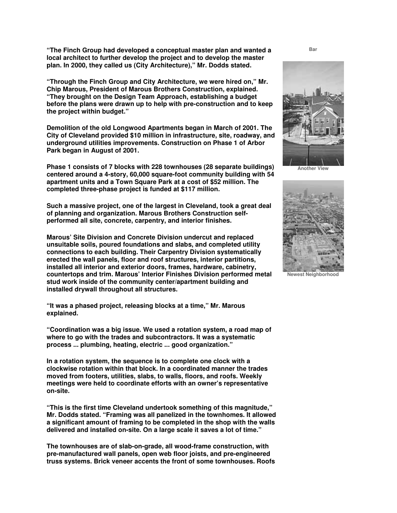**"The Finch Group had developed a conceptual master plan and wanted a local architect to further develop the project and to develop the master plan. In 2000, they called us (City Architecture)," Mr. Dodds stated.**

**"Through the Finch Group and City Architecture, we were hired on," Mr. Chip Marous, President of Marous Brothers Construction, explained. "They brought on the Design Team Approach, establishing a budget before the plans were drawn up to help with pre-construction and to keep the project within budget."**

**Demolition of the old Longwood Apartments began in March of 2001. The City of Cleveland provided \$10 million in infrastructure, site, roadway, and underground utilities improvements. Construction on Phase 1 of Arbor Park began in August of 2001.**

**Phase 1 consists of 7 blocks with 228 townhouses (28 separate buildings) centered around a 4-story, 60,000 square-foot community building with 54 apartment units and a Town Square Park at a cost of \$52 million. The completed three-phase project is funded at \$117 million.**

**Such a massive project, one of the largest in Cleveland, took a great deal of planning and organization. Marous Brothers Construction selfperformed all site, concrete, carpentry, and interior finishes.** 

**Marous' Site Division and Concrete Division undercut and replaced unsuitable soils, poured foundations and slabs, and completed utility connections to each building. Their Carpentry Division systematically erected the wall panels, floor and roof structures, interior partitions, installed all interior and exterior doors, frames, hardware, cabinetry, countertops and trim. Marous' Interior Finishes Division performed metal stud work inside of the community center/apartment building and installed drywall throughout all structures.**

**"It was a phased project, releasing blocks at a time," Mr. Marous explained.** 

**"Coordination was a big issue. We used a rotation system, a road map of where to go with the trades and subcontractors. It was a systematic process ... plumbing, heating, electric ... good organization."**

**In a rotation system, the sequence is to complete one clock with a clockwise rotation within that block. In a coordinated manner the trades moved from footers, utilities, slabs, to walls, floors, and roofs. Weekly meetings were held to coordinate efforts with an owner's representative on-site.**

**"This is the first time Cleveland undertook something of this magnitude," Mr. Dodds stated. "Framing was all panelized in the townhomes. It allowed a significant amount of framing to be completed in the shop with the walls delivered and installed on-site. On a large scale it saves a lot of time."**

**The townhouses are of slab-on-grade, all wood-frame construction, with pre-manufactured wall panels, open web floor joists, and pre-engineered truss systems. Brick veneer accents the front of some townhouses. Roofs**  **Bar**



**Another View**



**Newest Neighborhood**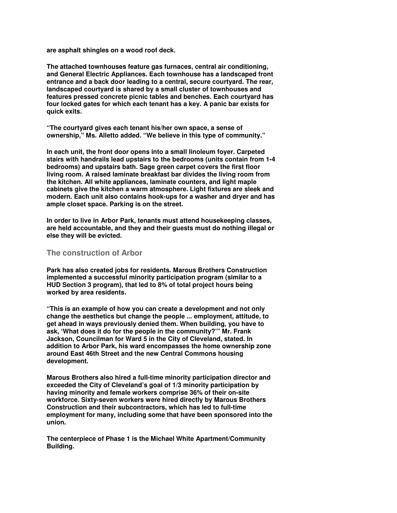**are asphalt shingles on a wood roof deck.** 

**The attached townhouses feature gas furnaces, central air conditioning, and General Electric Appliances. Each townhouse has a landscaped front entrance and a back door leading to a central, secure courtyard. The rear, landscaped courtyard is shared by a small cluster of townhouses and features pressed concrete picnic tables and benches. Each courtyard has four locked gates for which each tenant has a key. A panic bar exists for quick exits.**

**"The courtyard gives each tenant his/her own space, a sense of ownership," Ms. Alletto added. "We believe in this type of community."**

**In each unit, the front door opens into a small linoleum foyer. Carpeted stairs with handrails lead upstairs to the bedrooms (units contain from 1-4 bedrooms) and upstairs bath. Sage green carpet covers the first floor living room. A raised laminate breakfast bar divides the living room from the kitchen. All white appliances, laminate counters, and light maple cabinets give the kitchen a warm atmosphere. Light fixtures are sleek and modern. Each unit also contains hook-ups for a washer and dryer and has ample closet space. Parking is on the street.** 

**In order to live in Arbor Park, tenants must attend housekeeping classes, are held accountable, and they and their guests must do nothing illegal or else they will be evicted.** 

## **The construction of Arbor**

**Park has also created jobs for residents. Marous Brothers Construction implemented a successful minority participation program (similar to a HUD Section 3 program), that led to 8% of total project hours being worked by area residents.**

**"This is an example of how you can create a development and not only change the aesthetics but change the people ... employment, attitude, to get ahead in ways previously denied them. When building, you have to ask, 'What does it do for the people in the community?'" Mr. Frank Jackson, Councilman for Ward 5 in the City of Cleveland, stated. In addition to Arbor Park, his ward encompasses the home ownership zone around East 46th Street and the new Central Commons housing development.**

**Marous Brothers also hired a full-time minority participation director and exceeded the City of Cleveland's goal of 1/3 minority participation by having minority and female workers comprise 36% of their on-site workforce. Sixty-seven workers were hired directly by Marous Brothers Construction and their subcontractors, which has led to full-time employment for many, including some that have been sponsored into the union.** 

**The centerpiece of Phase 1 is the Michael White Apartment/Community Building.**